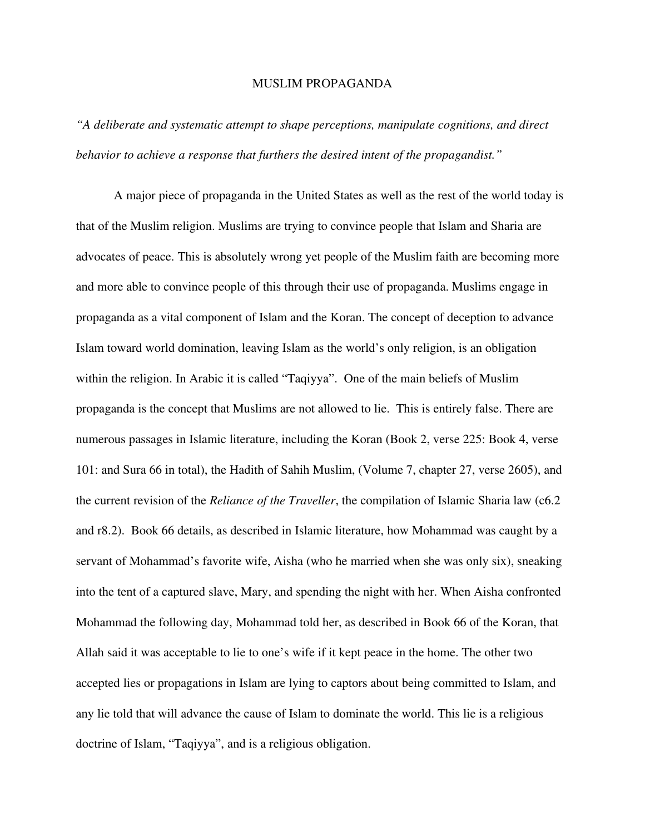## MUSLIM PROPAGANDA

*"A deliberate and systematic attempt to shape perceptions, manipulate cognitions, and direct behavior to achieve a response that furthers the desired intent of the propagandist."*

A major piece of propaganda in the United States as well as the rest of the world today is that of the Muslim religion. Muslims are trying to convince people that Islam and Sharia are advocates of peace. This is absolutely wrong yet people of the Muslim faith are becoming more and more able to convince people of this through their use of propaganda. Muslims engage in propaganda as a vital component of Islam and the Koran. The concept of deception to advance Islam toward world domination, leaving Islam as the world's only religion, is an obligation within the religion. In Arabic it is called "Taqiyya". One of the main beliefs of Muslim propaganda is the concept that Muslims are not allowed to lie. This is entirely false. There are numerous passages in Islamic literature, including the Koran (Book 2, verse 225: Book 4, verse 101: and Sura 66 in total), the Hadith of Sahih Muslim, (Volume 7, chapter 27, verse 2605), and the current revision of the *Reliance of the Traveller*, the compilation of Islamic Sharia law (c6.2 and r8.2). Book 66 details, as described in Islamic literature, how Mohammad was caught by a servant of Mohammad's favorite wife, Aisha (who he married when she was only six), sneaking into the tent of a captured slave, Mary, and spending the night with her. When Aisha confronted Mohammad the following day, Mohammad told her, as described in Book 66 of the Koran, that Allah said it was acceptable to lie to one's wife if it kept peace in the home. The other two accepted lies or propagations in Islam are lying to captors about being committed to Islam, and any lie told that will advance the cause of Islam to dominate the world. This lie is a religious doctrine of Islam, "Taqiyya", and is a religious obligation.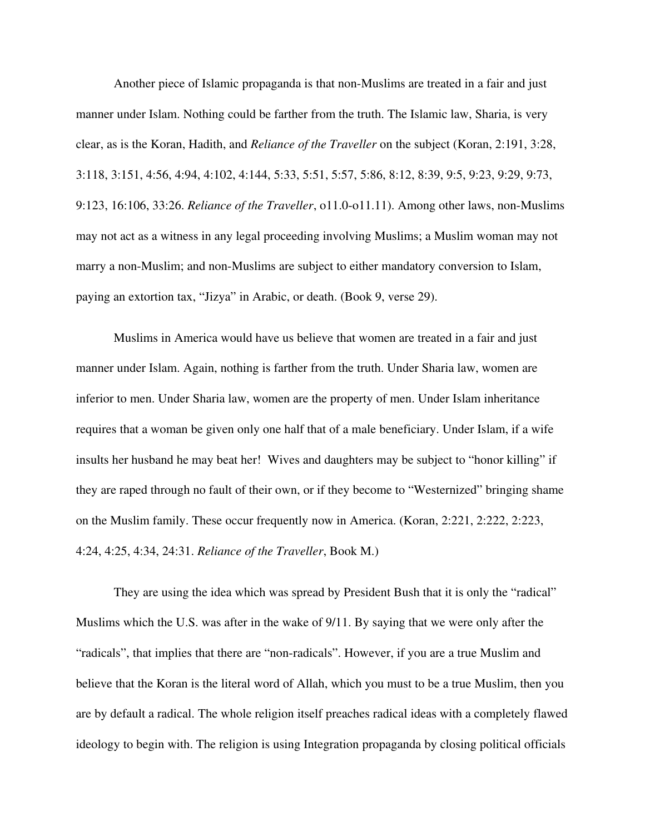Another piece of Islamic propaganda is that non-Muslims are treated in a fair and just manner under Islam. Nothing could be farther from the truth. The Islamic law, Sharia, is very clear, as is the Koran, Hadith, and *Reliance of the Traveller* on the subject (Koran, 2:191, 3:28, 3:118, 3:151, 4:56, 4:94, 4:102, 4:144, 5:33, 5:51, 5:57, 5:86, 8:12, 8:39, 9:5, 9:23, 9:29, 9:73, 9:123, 16:106, 33:26. *Reliance of the Traveller*, o11.0-o11.11). Among other laws, non-Muslims may not act as a witness in any legal proceeding involving Muslims; a Muslim woman may not marry a non-Muslim; and non-Muslims are subject to either mandatory conversion to Islam, paying an extortion tax, "Jizya" in Arabic, or death. (Book 9, verse 29).

Muslims in America would have us believe that women are treated in a fair and just manner under Islam. Again, nothing is farther from the truth. Under Sharia law, women are inferior to men. Under Sharia law, women are the property of men. Under Islam inheritance requires that a woman be given only one half that of a male beneficiary. Under Islam, if a wife insults her husband he may beat her! Wives and daughters may be subject to "honor killing" if they are raped through no fault of their own, or if they become to "Westernized" bringing shame on the Muslim family. These occur frequently now in America. (Koran, 2:221, 2:222, 2:223, 4:24, 4:25, 4:34, 24:31. *Reliance of the Traveller*, Book M.)

They are using the idea which was spread by President Bush that it is only the "radical" Muslims which the U.S. was after in the wake of 9/11. By saying that we were only after the "radicals", that implies that there are "non-radicals". However, if you are a true Muslim and believe that the Koran is the literal word of Allah, which you must to be a true Muslim, then you are by default a radical. The whole religion itself preaches radical ideas with a completely flawed ideology to begin with. The religion is using Integration propaganda by closing political officials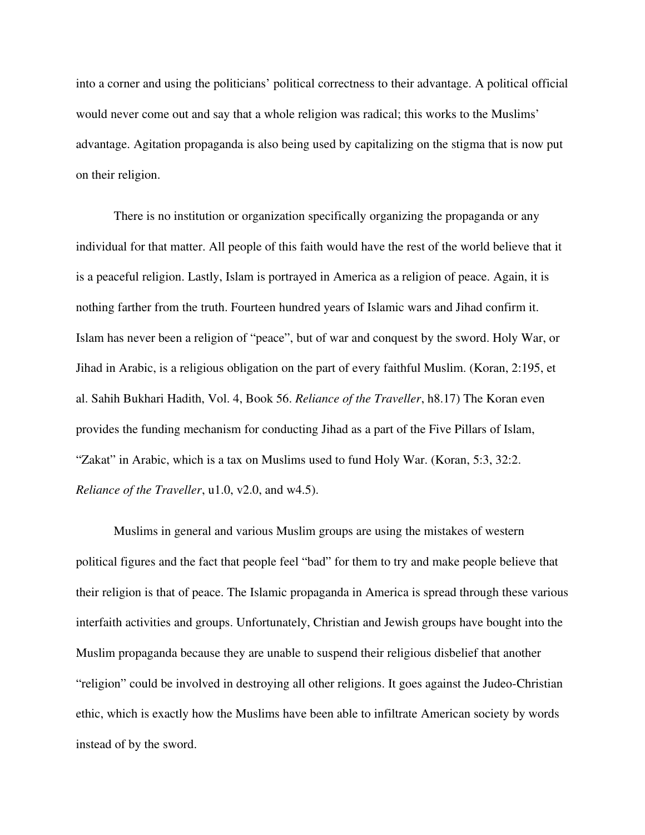into a corner and using the politicians' political correctness to their advantage. A political official would never come out and say that a whole religion was radical; this works to the Muslims' advantage. Agitation propaganda is also being used by capitalizing on the stigma that is now put on their religion.

There is no institution or organization specifically organizing the propaganda or any individual for that matter. All people of this faith would have the rest of the world believe that it is a peaceful religion. Lastly, Islam is portrayed in America as a religion of peace. Again, it is nothing farther from the truth. Fourteen hundred years of Islamic wars and Jihad confirm it. Islam has never been a religion of "peace", but of war and conquest by the sword. Holy War, or Jihad in Arabic, is a religious obligation on the part of every faithful Muslim. (Koran, 2:195, et al. Sahih Bukhari Hadith, Vol. 4, Book 56. *Reliance of the Traveller*, h8.17) The Koran even provides the funding mechanism for conducting Jihad as a part of the Five Pillars of Islam, "Zakat" in Arabic, which is a tax on Muslims used to fund Holy War. (Koran, 5:3, 32:2. *Reliance of the Traveller*, u1.0, v2.0, and w4.5).

Muslims in general and various Muslim groups are using the mistakes of western political figures and the fact that people feel "bad" for them to try and make people believe that their religion is that of peace. The Islamic propaganda in America is spread through these various interfaith activities and groups. Unfortunately, Christian and Jewish groups have bought into the Muslim propaganda because they are unable to suspend their religious disbelief that another "religion" could be involved in destroying all other religions. It goes against the Judeo-Christian ethic, which is exactly how the Muslims have been able to infiltrate American society by words instead of by the sword.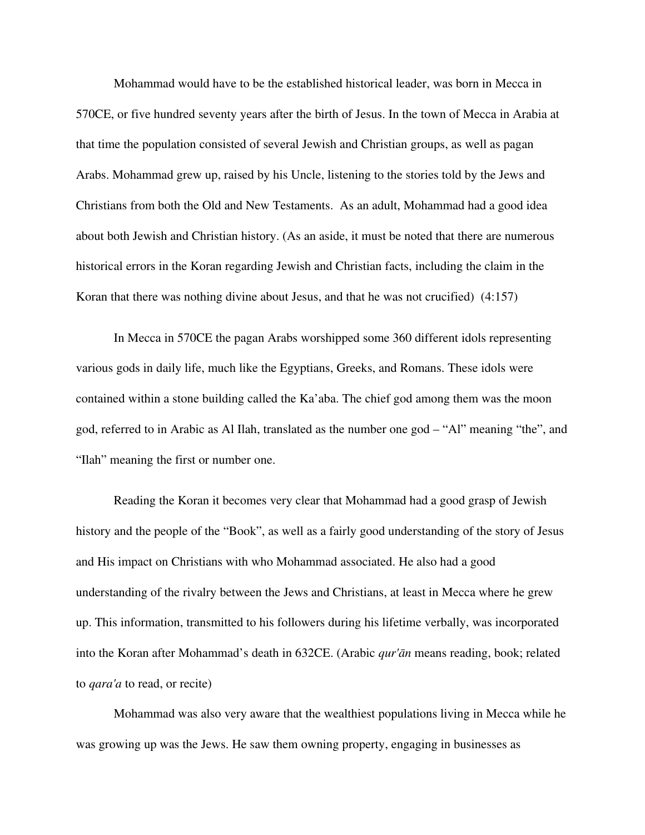Mohammad would have to be the established historical leader, was born in Mecca in 570CE, or five hundred seventy years after the birth of Jesus. In the town of Mecca in Arabia at that time the population consisted of several Jewish and Christian groups, as well as pagan Arabs. Mohammad grew up, raised by his Uncle, listening to the stories told by the Jews and Christians from both the Old and New Testaments. As an adult, Mohammad had a good idea about both Jewish and Christian history. (As an aside, it must be noted that there are numerous historical errors in the Koran regarding Jewish and Christian facts, including the claim in the Koran that there was nothing divine about Jesus, and that he was not crucified) (4:157)

In Mecca in 570CE the pagan Arabs worshipped some 360 different idols representing various gods in daily life, much like the Egyptians, Greeks, and Romans. These idols were contained within a stone building called the [Ka'aba.](http://en.wikipedia.org/wiki/Kaaba) The chief god among them was the moon god, referred to in Arabic as Al Ilah, translated as the number one god – "Al" meaning "the", and "Ilah" meaning the first or number one.

Reading the Koran it becomes very clear that Mohammad had a good grasp of Jewish history and the people of the "Book", as well as a fairly good understanding of the story of Jesus and His impact on Christians with who Mohammad associated. He also had a good understanding of the rivalry between the Jews and Christians, at least in Mecca where he grew up. This information, transmitted to his followers during his lifetime verbally, was incorporated into the Koran after Mohammad's death in 632CE. (Arabic *qur'ān* means reading, book; related to *qara'a* to read, or recite)

Mohammad was also very aware that the wealthiest populations living in Mecca while he was growing up was the Jews. He saw them owning property, engaging in businesses as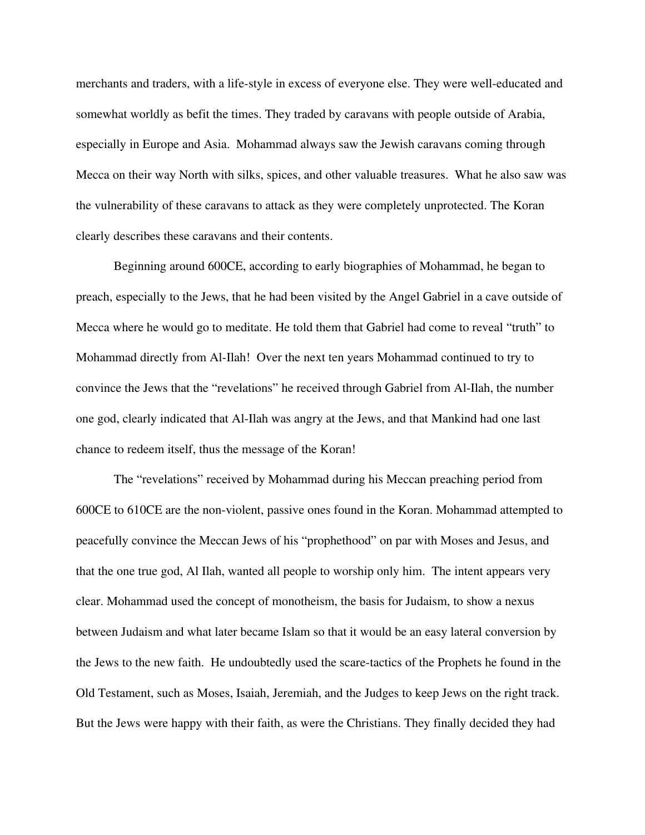merchants and traders, with a life-style in excess of everyone else. They were well-educated and somewhat worldly as befit the times. They traded by caravans with people outside of Arabia, especially in Europe and Asia. Mohammad always saw the Jewish caravans coming through Mecca on their way North with silks, spices, and other valuable treasures. What he also saw was the vulnerability of these caravans to attack as they were completely unprotected. The Koran clearly describes these caravans and their contents.

Beginning around 600CE, according to early biographies of Mohammad, he began to preach, especially to the Jews, that he had been visited by the Angel Gabriel in a cave outside of Mecca where he would go to meditate. He told them that Gabriel had come to reveal "truth" to Mohammad directly from Al-Ilah! Over the next ten years Mohammad continued to try to convince the Jews that the "revelations" he received through Gabriel from Al-Ilah, the number one god, clearly indicated that AlIlah was angry at the Jews, and that Mankind had one last chance to redeem itself, thus the message of the Koran!

The "revelations" received by Mohammad during his Meccan preaching period from 600CE to 610CE are the non-violent, passive ones found in the Koran. Mohammad attempted to peacefully convince the Meccan Jews of his "prophethood" on par with Moses and Jesus, and that the one true god, Al Ilah, wanted all people to worship only him. The intent appears very clear. Mohammad used the concept of monotheism, the basis for Judaism, to show a nexus between Judaism and what later became Islam so that it would be an easy lateral conversion by the Jews to the new faith. He undoubtedly used the scare-tactics of the Prophets he found in the Old Testament, such as Moses, Isaiah, Jeremiah, and the Judges to keep Jews on the right track. But the Jews were happy with their faith, as were the Christians. They finally decided they had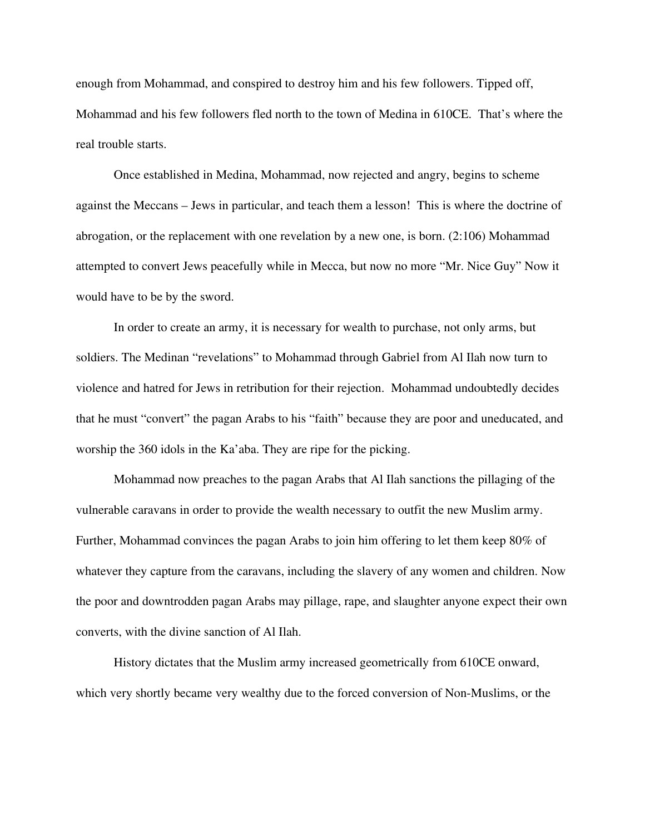enough from Mohammad, and conspired to destroy him and his few followers. Tipped off, Mohammad and his few followers fled north to the town of Medina in 610CE. That's where the real trouble starts.

Once established in Medina, Mohammad, now rejected and angry, begins to scheme against the Meccans – Jews in particular, and teach them a lesson! This is where the doctrine of abrogation, or the replacement with one revelation by a new one, is born. (2:106) Mohammad attempted to convert Jews peacefully while in Mecca, but now no more "Mr. Nice Guy" Now it would have to be by the sword.

In order to create an army, it is necessary for wealth to purchase, not only arms, but soldiers. The Medinan "revelations" to Mohammad through Gabriel from Al Ilah now turn to violence and hatred for Jews in retribution for their rejection. Mohammad undoubtedly decides that he must "convert" the pagan Arabs to his "faith" because they are poor and uneducated, and worship the 360 idols in the Ka'aba. They are ripe for the picking.

Mohammad now preaches to the pagan Arabs that Al Ilah sanctions the pillaging of the vulnerable caravans in order to provide the wealth necessary to outfit the new Muslim army. Further, Mohammad convinces the pagan Arabs to join him offering to let them keep 80% of whatever they capture from the caravans, including the slavery of any women and children. Now the poor and downtrodden pagan Arabs may pillage, rape, and slaughter anyone expect their own converts, with the divine sanction of Al Ilah.

History dictates that the Muslim army increased geometrically from 610CE onward, which very shortly became very wealthy due to the forced conversion of Non-Muslims, or the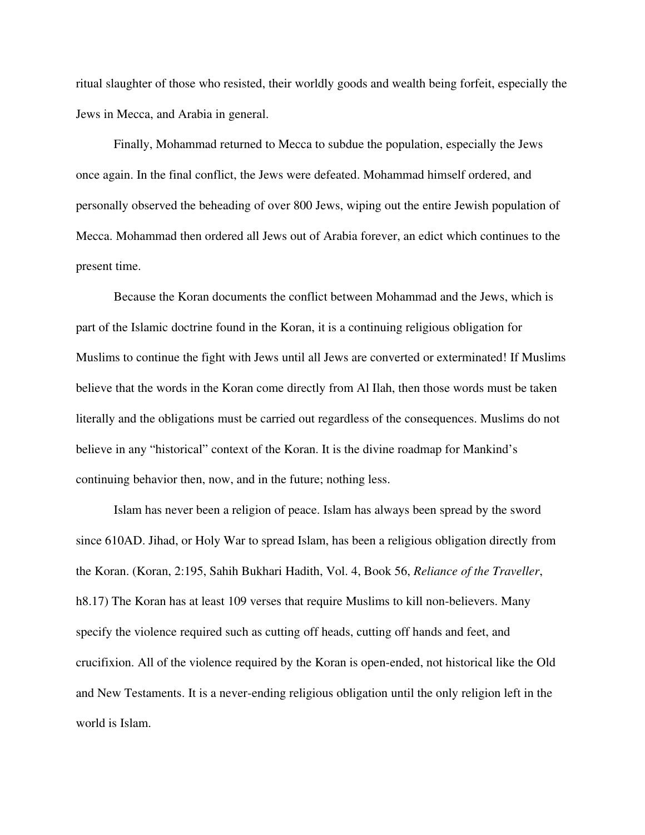ritual slaughter of those who resisted, their worldly goods and wealth being forfeit, especially the Jews in Mecca, and Arabia in general.

Finally, Mohammad returned to Mecca to subdue the population, especially the Jews once again. In the final conflict, the Jews were defeated. Mohammad himself ordered, and personally observed the beheading of over 800 Jews, wiping out the entire Jewish population of Mecca. Mohammad then ordered all Jews out of Arabia forever, an edict which continues to the present time.

Because the Koran documents the conflict between Mohammad and the Jews, which is part of the Islamic doctrine found in the Koran, it is a continuing religious obligation for Muslims to continue the fight with Jews until all Jews are converted or exterminated! If Muslims believe that the words in the Koran come directly from Al Ilah, then those words must be taken literally and the obligations must be carried out regardless of the consequences. Muslims do not believe in any "historical" context of the Koran. It is the divine roadmap for Mankind's continuing behavior then, now, and in the future; nothing less.

Islam has never been a religion of peace. Islam has always been spread by the sword since 610AD. Jihad, or Holy War to spread Islam, has been a religious obligation directly from the Koran. (Koran, 2:195, Sahih Bukhari Hadith, Vol. 4, Book 56, *Reliance of the Traveller*, h8.17) The Koran has at least 109 verses that require Muslims to kill non-believers. Many specify the violence required such as cutting off heads, cutting off hands and feet, and crucifixion. All of the violence required by the Koran is openended, not historical like the Old and New Testaments. It is a never-ending religious obligation until the only religion left in the world is Islam.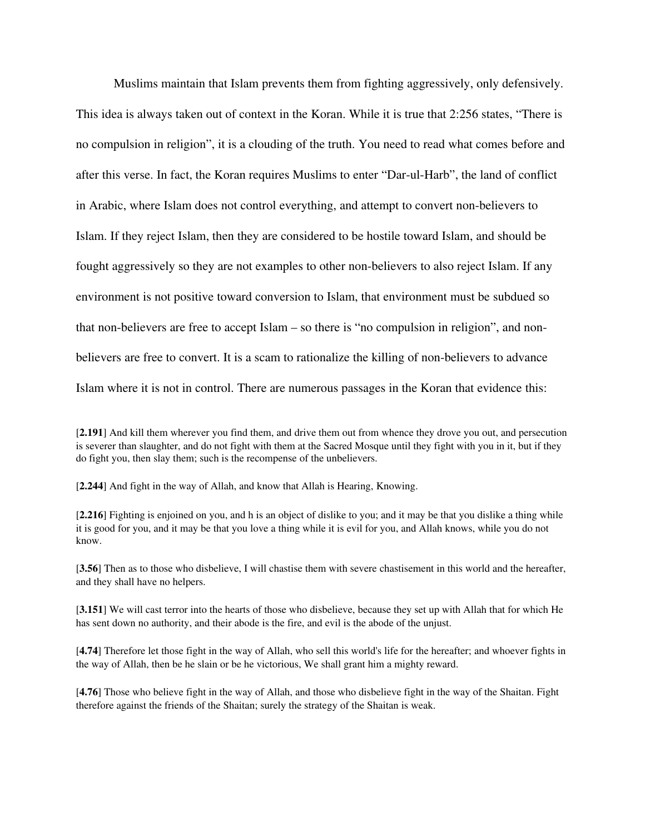Muslims maintain that Islam prevents them from fighting aggressively, only defensively. This idea is always taken out of context in the Koran. While it is true that 2:256 states, "There is no compulsion in religion", it is a clouding of the truth. You need to read what comes before and after this verse. In fact, the Koran requires Muslims to enter "Dar-ul-Harb", the land of conflict in Arabic, where Islam does not control everything, and attempt to convert non-believers to Islam. If they reject Islam, then they are considered to be hostile toward Islam, and should be fought aggressively so they are not examples to other non-believers to also reject Islam. If any environment is not positive toward conversion to Islam, that environment must be subdued so that non-believers are free to accept Islam – so there is "no compulsion in religion", and nonbelievers are free to convert. It is a scam to rationalize the killing of non-believers to advance Islam where it is not in control. There are numerous passages in the Koran that evidence this:

[2.244] And fight in the way of Allah, and know that Allah is Hearing, Knowing.

[2.216] Fighting is enjoined on you, and h is an object of dislike to you; and it may be that you dislike a thing while it is good for you, and it may be that you love a thing while it is evil for you, and Allah knows, while you do not know.

[3.56] Then as to those who disbelieve, I will chastise them with severe chastisement in this world and the hereafter, and they shall have no helpers.

[3.151] We will cast terror into the hearts of those who disbelieve, because they set up with Allah that for which He has sent down no authority, and their abode is the fire, and evil is the abode of the unjust.

[4.74] Therefore let those fight in the way of Allah, who sell this world's life for the hereafter; and whoever fights in the way of Allah, then be he slain or be he victorious, We shall grant him a mighty reward.

[4.76] Those who believe fight in the way of Allah, and those who disbelieve fight in the way of the Shaitan. Fight therefore against the friends of the Shaitan; surely the strategy of the Shaitan is weak.

<sup>[</sup>2.191] And kill them wherever you find them, and drive them out from whence they drove you out, and persecution is severer than slaughter, and do not fight with them at the Sacred Mosque until they fight with you in it, but if they do fight you, then slay them; such is the recompense of the unbelievers.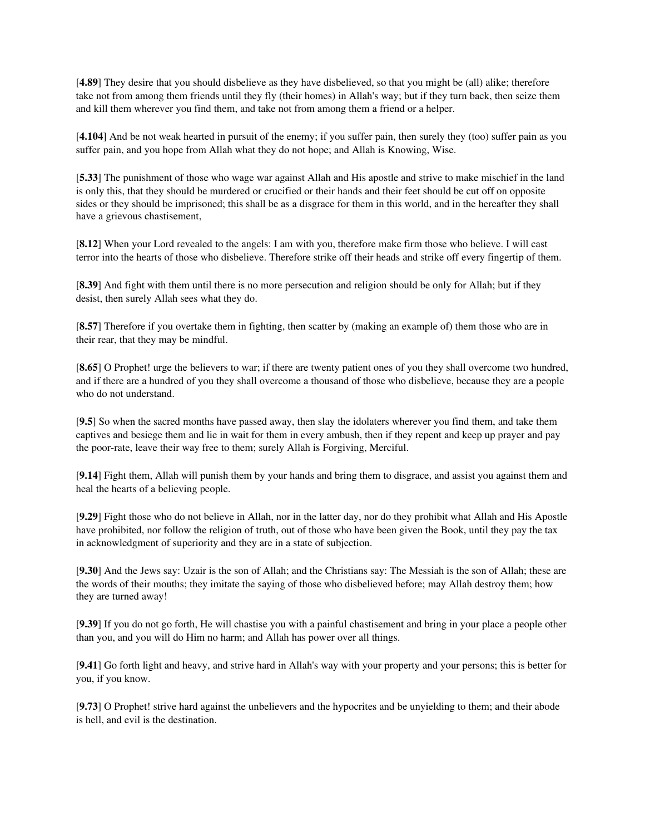[4.89] They desire that you should disbelieve as they have disbelieved, so that you might be (all) alike; therefore take not from among them friends until they fly (their homes) in Allah's way; but if they turn back, then seize them and kill them wherever you find them, and take not from among them a friend or a helper.

[4.104] And be not weak hearted in pursuit of the enemy; if you suffer pain, then surely they (too) suffer pain as you suffer pain, and you hope from Allah what they do not hope; and Allah is Knowing, Wise.

[5.33] The punishment of those who wage war against Allah and His apostle and strive to make mischief in the land is only this, that they should be murdered or crucified or their hands and their feet should be cut off on opposite sides or they should be imprisoned; this shall be as a disgrace for them in this world, and in the hereafter they shall have a grievous chastisement,

[8.12] When your Lord revealed to the angels: I am with you, therefore make firm those who believe. I will cast terror into the hearts of those who disbelieve. Therefore strike off their heads and strike off every fingertip of them.

[8.39] And fight with them until there is no more persecution and religion should be only for Allah; but if they desist, then surely Allah sees what they do.

[8.57] Therefore if you overtake them in fighting, then scatter by (making an example of) them those who are in their rear, that they may be mindful.

[8.65] O Prophet! urge the believers to war; if there are twenty patient ones of you they shall overcome two hundred, and if there are a hundred of you they shall overcome a thousand of those who disbelieve, because they are a people who do not understand.

[9.5] So when the sacred months have passed away, then slay the idolaters wherever you find them, and take them captives and besiege them and lie in wait for them in every ambush, then if they repent and keep up prayer and pay the poor-rate, leave their way free to them; surely Allah is Forgiving, Merciful.

[9.14] Fight them, Allah will punish them by your hands and bring them to disgrace, and assist you against them and heal the hearts of a believing people.

[9.29] Fight those who do not believe in Allah, nor in the latter day, nor do they prohibit what Allah and His Apostle have prohibited, nor follow the religion of truth, out of those who have been given the Book, until they pay the tax in acknowledgment of superiority and they are in a state of subjection.

[9.30] And the Jews say: Uzair is the son of Allah; and the Christians say: The Messiah is the son of Allah; these are the words of their mouths; they imitate the saying of those who disbelieved before; may Allah destroy them; how they are turned away!

[9.39] If you do not go forth, He will chastise you with a painful chastisement and bring in your place a people other than you, and you will do Him no harm; and Allah has power over all things.

[9.41] Go forth light and heavy, and strive hard in Allah's way with your property and your persons; this is better for you, if you know.

[9.73] O Prophet! strive hard against the unbelievers and the hypocrites and be unyielding to them; and their abode is hell, and evil is the destination.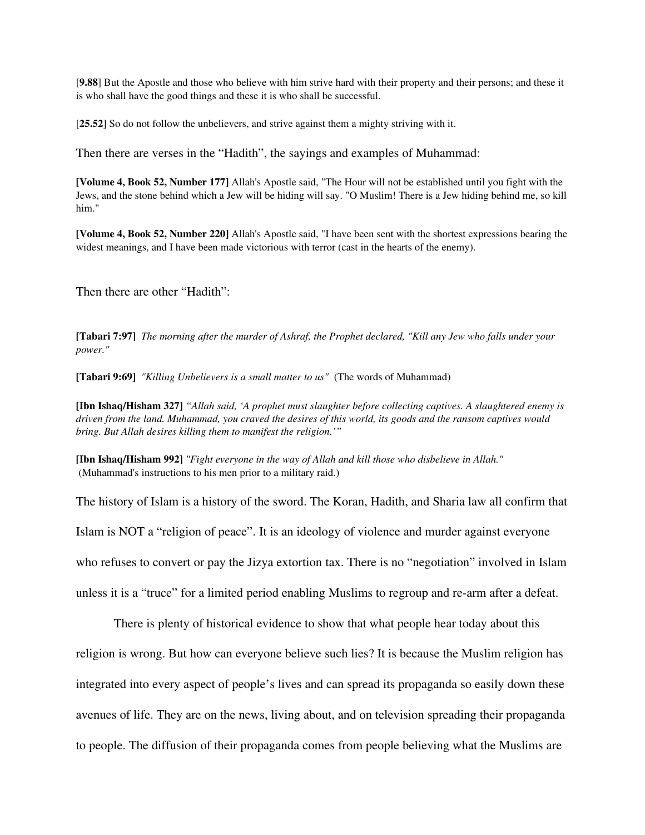[9.88] But the Apostle and those who believe with him strive hard with their property and their persons; and these it is who shall have the good things and these it is who shall be successful.

[25.52] So do not follow the unbelievers, and strive against them a mighty striving with it.

Then there are verses in the "Hadith", the sayings and examples of Muhammad:

[Volume 4, Book 52, Number 177] Allah's Apostle said, "The Hour will not be established until you fight with the Jews, and the stone behind which a Jew will be hiding will say. "O Muslim! There is a Jew hiding behind me, so kill him."

[Volume 4, Book 52, Number 220] Allah's Apostle said, "I have been sent with the shortest expressions bearing the widest meanings, and I have been made victorious with terror (cast in the hearts of the enemy).

Then there are other "Hadith":

[Tabari 7:97] *The morning after the murder of Ashraf, the Prophet declared, "Kill any Jew who falls under your power."*

[Tabari 9:69] *"Killing Unbelievers is a small matter to us"* (The words of Muhammad)

[Ibn Ishaq/Hisham 327] *"Allah said, 'A prophet must slaughter before collecting captives. A slaughtered enemy is driven from the land. Muhammad, you craved the desires of this world, its goods and the ransom captives would bring. But Allah desires killing them to manifest the religion.'"*

[Ibn Ishaq/Hisham 992] *"Fight everyone in the way of Allah and kill those who disbelieve in Allah."* (Muhammad's instructions to his men prior to a military raid.)

The history of Islam is a history of the sword. The Koran, Hadith, and Sharia law all confirm that Islam is NOT a "religion of peace". It is an ideology of violence and murder against everyone who refuses to convert or pay the Jizya extortion tax. There is no "negotiation" involved in Islam unless it is a "truce" for a limited period enabling Muslims to regroup and re-arm after a defeat.

There is plenty of historical evidence to show that what people hear today about this religion is wrong. But how can everyone believe such lies? It is because the Muslim religion has integrated into every aspect of people's lives and can spread its propaganda so easily down these avenues of life. They are on the news, living about, and on television spreading their propaganda to people. The diffusion of their propaganda comes from people believing what the Muslims are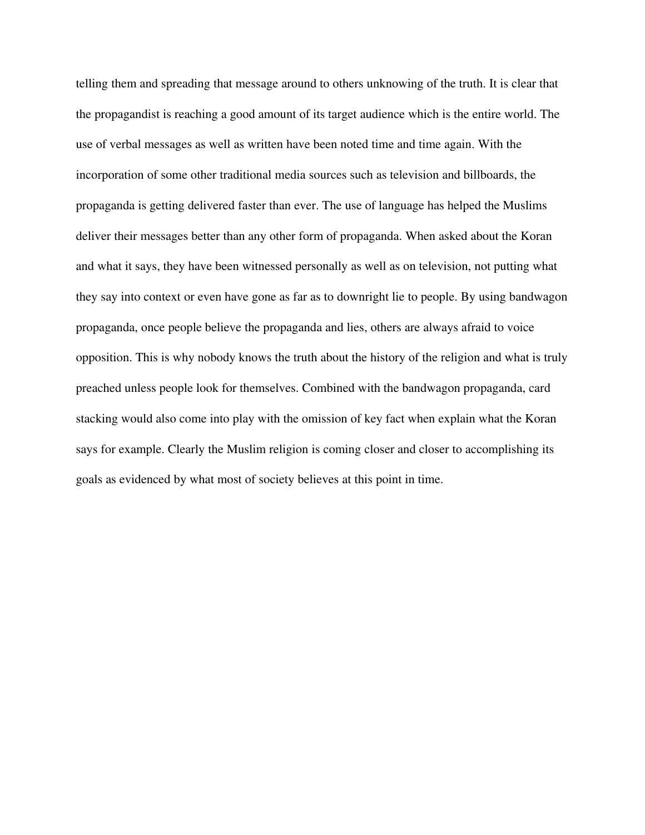telling them and spreading that message around to others unknowing of the truth. It is clear that the propagandist is reaching a good amount of its target audience which is the entire world. The use of verbal messages as well as written have been noted time and time again. With the incorporation of some other traditional media sources such as television and billboards, the propaganda is getting delivered faster than ever. The use of language has helped the Muslims deliver their messages better than any other form of propaganda. When asked about the Koran and what it says, they have been witnessed personally as well as on television, not putting what they say into context or even have gone as far as to downright lie to people. By using bandwagon propaganda, once people believe the propaganda and lies, others are always afraid to voice opposition. This is why nobody knows the truth about the history of the religion and what is truly preached unless people look for themselves. Combined with the bandwagon propaganda, card stacking would also come into play with the omission of key fact when explain what the Koran says for example. Clearly the Muslim religion is coming closer and closer to accomplishing its goals as evidenced by what most of society believes at this point in time.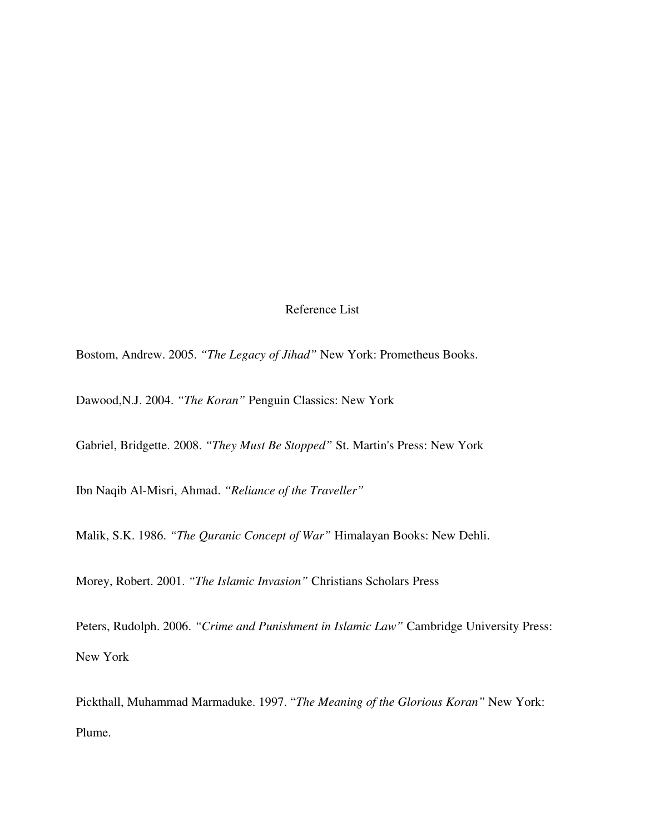## Reference List

Bostom, Andrew. 2005. *"The Legacy of Jihad"* New York: Prometheus Books.

Dawood,N.J. 2004. *"The Koran"* Penguin Classics: New York

Gabriel, Bridgette. 2008. *"They Must Be Stopped"* St. Martin's Press: New York

Ibn Naqib Al-Misri, Ahmad. "Reliance of the Traveller"

Malik, S.K. 1986. *"The Quranic Concept of War"* Himalayan Books: New Dehli.

Morey, Robert. 2001. *"The Islamic Invasion"* Christians Scholars Press

Peters, Rudolph. 2006. *"Crime and Punishment in Islamic Law"* Cambridge University Press: New York

Pickthall, Muhammad Marmaduke. 1997. "*The Meaning of the Glorious Koran"* New York: Plume.